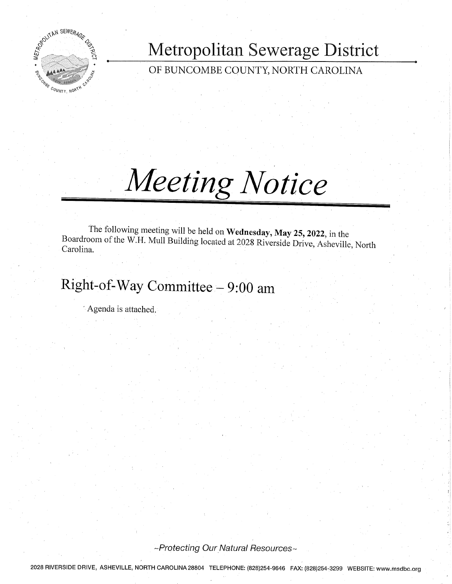

Metropolitan Sewerage District

OF BUNCOMBE COUNTY, NORTH CAROLINA

# Meeting Notice

The following meeting will be held on Wednesday, May 25, 2022, in the Boardroom of the W.H. Mull Building located at 2028 Riverside Drive, Asheville, North Carolina.

# Right-of-Way Committee - 9:00 am

Agenda is attached.

~Protecting Our Natural Resources~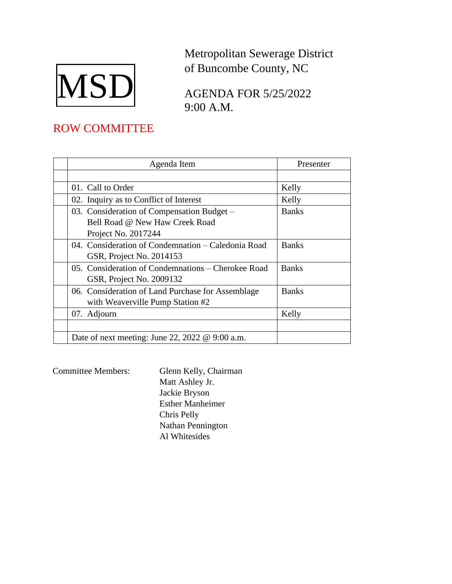

Metropolitan Sewerage District of Buncombe County, NC

AGENDA FOR 5/25/2022 9:00 A.M.

## ROW COMMITTEE

| Agenda Item                                                                                         | Presenter    |
|-----------------------------------------------------------------------------------------------------|--------------|
|                                                                                                     |              |
| 01. Call to Order                                                                                   | Kelly        |
| 02. Inquiry as to Conflict of Interest                                                              | Kelly        |
| 03. Consideration of Compensation Budget –<br>Bell Road @ New Haw Creek Road<br>Project No. 2017244 | <b>Banks</b> |
| 04. Consideration of Condemnation – Caledonia Road<br>GSR, Project No. 2014153                      | <b>Banks</b> |
| 05. Consideration of Condemnations – Cherokee Road<br>GSR, Project No. 2009132                      | <b>Banks</b> |
| 06. Consideration of Land Purchase for Assemblage<br>with Weaverville Pump Station #2               | <b>Banks</b> |
| 07. Adjourn                                                                                         | Kelly        |
|                                                                                                     |              |
| Date of next meeting: June 22, 2022 $\omega$ 9:00 a.m.                                              |              |

Committee Members: Glenn Kelly, Chairman Matt Ashley Jr. Jackie Bryson Esther Manheimer Chris Pelly Nathan Pennington Al Whitesides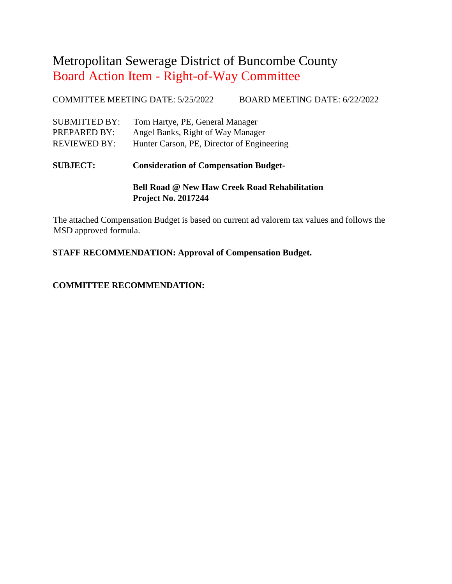COMMITTEE MEETING DATE: 5/25/2022 BOARD MEETING DATE: 6/22/2022

| <b>SUBMITTED BY:</b> | Tom Hartye, PE, General Manager            |
|----------------------|--------------------------------------------|
| PREPARED BY:         | Angel Banks, Right of Way Manager          |
| <b>REVIEWED BY:</b>  | Hunter Carson, PE, Director of Engineering |

**SUBJECT: Consideration of Compensation Budget-**

**Bell Road @ New Haw Creek Road Rehabilitation Project No. 2017244**

The attached Compensation Budget is based on current ad valorem tax values and follows the MSD approved formula.

**STAFF RECOMMENDATION: Approval of Compensation Budget.**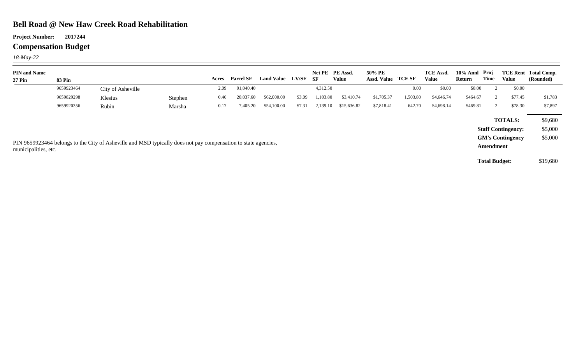#### **Bell Road @ New Haw Creek Road Rehabilitation**

**Project Number: 2017244**

## **Compensation Budget**

*18-May-22*

| <b>PIN and Name</b><br><b>27 Pin</b>                                                                                                                                                                                          | <b>83 Pin</b> |                   |         | Acres                         | <b>Parcel SF</b> | Land Value LV/SF |        | - SF     | Net PE PE Assd.<br><b>Value</b> | 50% PE<br>Assd. Value | TCE SF   | <b>TCE Assd.</b><br>Value | 10% Annl Proj<br>Return | Time                 | <b>Value</b> | <b>TCE Rent Total Comp.</b><br>(Rounded) |
|-------------------------------------------------------------------------------------------------------------------------------------------------------------------------------------------------------------------------------|---------------|-------------------|---------|-------------------------------|------------------|------------------|--------|----------|---------------------------------|-----------------------|----------|---------------------------|-------------------------|----------------------|--------------|------------------------------------------|
|                                                                                                                                                                                                                               | 9659923464    | City of Asheville |         | 2.09                          | 91,040.40        |                  |        | 4,312.50 |                                 |                       | 0.00     | \$0.00                    | \$0.00                  |                      | \$0.00       |                                          |
|                                                                                                                                                                                                                               | 9659829298    | Klesius           | Stephen | 0.46                          | 20,037.60        | \$62,000.00      | \$3.09 | ,103.80  | \$3,410.74                      | \$1,705.37            | 1,503.80 | \$4,646.74                | \$464.67                |                      | \$77.45      | \$1,783                                  |
|                                                                                                                                                                                                                               | 9659920356    | Rubin             | Marsha  | 0.17                          | 7,405.20         | \$54,100.00      | \$7.31 | 2,139.10 | \$15,636.82                     | \$7,818.41            | 642.70   | \$4,698.14                | \$469.81                |                      | \$78.30      | \$7,897                                  |
| <b>TOTALS:</b><br><b>Staff Contingency:</b><br><b>GM's Contingency</b><br>PIN 9659923464 belongs to the City of Asheville and MSD typically does not pay compensation to state agencies,<br>Amendment<br>municipalities, etc. |               |                   |         | \$9,680<br>\$5,000<br>\$5,000 |                  |                  |        |          |                                 |                       |          |                           |                         |                      |              |                                          |
|                                                                                                                                                                                                                               |               |                   |         |                               |                  |                  |        |          |                                 |                       |          |                           |                         | <b>Total Budget:</b> |              | \$19,680                                 |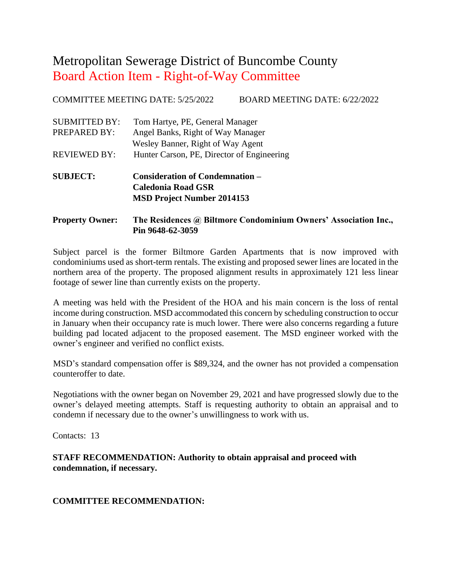COMMITTEE MEETING DATE: 5/25/2022 BOARD MEETING DATE: 6/22/2022

| <b>SUBJECT:</b>                      | <b>Consideration of Condemnation –</b><br>Colodonia Dood CSD                                              |
|--------------------------------------|-----------------------------------------------------------------------------------------------------------|
| <b>REVIEWED BY:</b>                  | Hunter Carson, PE, Director of Engineering                                                                |
| <b>SUBMITTED BY:</b><br>PREPARED BY: | Tom Hartye, PE, General Manager<br>Angel Banks, Right of Way Manager<br>Wesley Banner, Right of Way Agent |
|                                      |                                                                                                           |

**Caledonia Road GSR MSD Project Number 2014153**

#### **Property Owner: The Residences @ Biltmore Condominium Owners' Association Inc., Pin 9648-62-3059**

Subject parcel is the former Biltmore Garden Apartments that is now improved with condominiums used as short-term rentals. The existing and proposed sewer lines are located in the northern area of the property. The proposed alignment results in approximately 121 less linear footage of sewer line than currently exists on the property.

A meeting was held with the President of the HOA and his main concern is the loss of rental income during construction. MSD accommodated this concern by scheduling construction to occur in January when their occupancy rate is much lower. There were also concerns regarding a future building pad located adjacent to the proposed easement. The MSD engineer worked with the owner's engineer and verified no conflict exists.

MSD's standard compensation offer is \$89,324, and the owner has not provided a compensation counteroffer to date.

Negotiations with the owner began on November 29, 2021 and have progressed slowly due to the owner's delayed meeting attempts. Staff is requesting authority to obtain an appraisal and to condemn if necessary due to the owner's unwillingness to work with us.

Contacts: 13

**STAFF RECOMMENDATION: Authority to obtain appraisal and proceed with condemnation, if necessary.**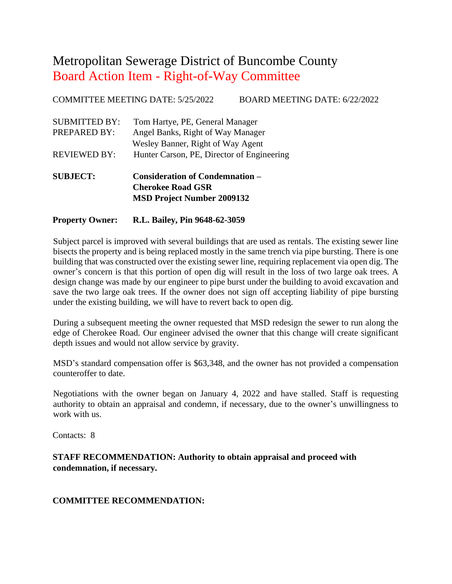COMMITTEE MEETING DATE: 5/25/2022 BOARD MEETING DATE: 6/22/2022

| <b>SUBJECT:</b>      | <b>Consideration of Condemnation –</b>     |
|----------------------|--------------------------------------------|
| <b>REVIEWED BY:</b>  | Hunter Carson, PE, Director of Engineering |
|                      | Wesley Banner, Right of Way Agent          |
| PREPARED BY:         | Angel Banks, Right of Way Manager          |
| <b>SUBMITTED BY:</b> | Tom Hartye, PE, General Manager            |
|                      |                                            |

**Cherokee Road GSR MSD Project Number 2009132**

#### **Property Owner: R.L. Bailey, Pin 9648-62-3059**

Subject parcel is improved with several buildings that are used as rentals. The existing sewer line bisects the property and is being replaced mostly in the same trench via pipe bursting. There is one building that was constructed over the existing sewer line, requiring replacement via open dig. The owner's concern is that this portion of open dig will result in the loss of two large oak trees. A design change was made by our engineer to pipe burst under the building to avoid excavation and save the two large oak trees. If the owner does not sign off accepting liability of pipe bursting under the existing building, we will have to revert back to open dig.

During a subsequent meeting the owner requested that MSD redesign the sewer to run along the edge of Cherokee Road. Our engineer advised the owner that this change will create significant depth issues and would not allow service by gravity.

MSD's standard compensation offer is \$63,348, and the owner has not provided a compensation counteroffer to date.

Negotiations with the owner began on January 4, 2022 and have stalled. Staff is requesting authority to obtain an appraisal and condemn, if necessary, due to the owner's unwillingness to work with us.

Contacts: 8

**STAFF RECOMMENDATION: Authority to obtain appraisal and proceed with condemnation, if necessary.**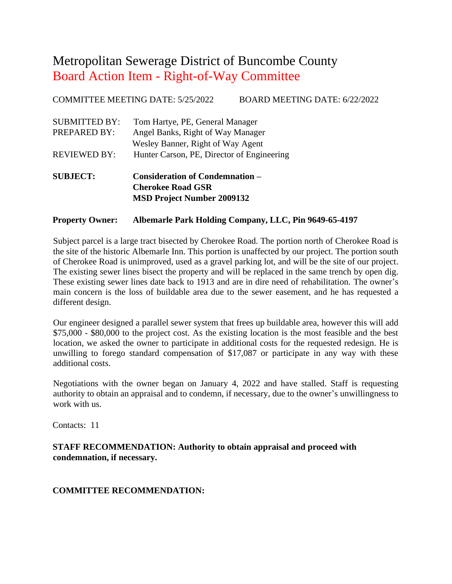COMMITTEE MEETING DATE: 5/25/2022 BOARD MEETING DATE: 6/22/2022

| <b>SUBJECT:</b>      | <b>Consideration of Condemnation -</b>     |
|----------------------|--------------------------------------------|
| <b>REVIEWED BY:</b>  | Hunter Carson, PE, Director of Engineering |
|                      | Wesley Banner, Right of Way Agent          |
| PREPARED BY:         | Angel Banks, Right of Way Manager          |
| <b>SUBMITTED BY:</b> | Tom Hartye, PE, General Manager            |
|                      |                                            |

### **Cherokee Road GSR MSD Project Number 2009132**

#### **Property Owner: Albemarle Park Holding Company, LLC, Pin 9649-65-4197**

Subject parcel is a large tract bisected by Cherokee Road. The portion north of Cherokee Road is the site of the historic Albemarle Inn. This portion is unaffected by our project. The portion south of Cherokee Road is unimproved, used as a gravel parking lot, and will be the site of our project. The existing sewer lines bisect the property and will be replaced in the same trench by open dig. These existing sewer lines date back to 1913 and are in dire need of rehabilitation. The owner's main concern is the loss of buildable area due to the sewer easement, and he has requested a different design.

Our engineer designed a parallel sewer system that frees up buildable area, however this will add \$75,000 - \$80,000 to the project cost. As the existing location is the most feasible and the best location, we asked the owner to participate in additional costs for the requested redesign. He is unwilling to forego standard compensation of \$17,087 or participate in any way with these additional costs.

Negotiations with the owner began on January 4, 2022 and have stalled. Staff is requesting authority to obtain an appraisal and to condemn, if necessary, due to the owner's unwillingness to work with us.

Contacts: 11

**STAFF RECOMMENDATION: Authority to obtain appraisal and proceed with condemnation, if necessary.**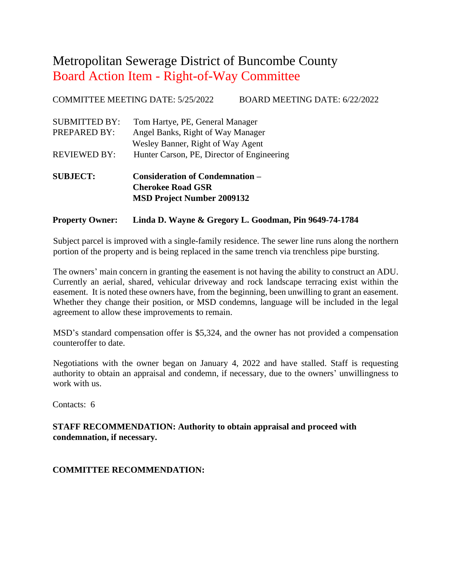COMMITTEE MEETING DATE: 5/25/2022 BOARD MEETING DATE: 6/22/2022

| Hunter Carson, PE, Director of Engineering                                                                |
|-----------------------------------------------------------------------------------------------------------|
| Tom Hartye, PE, General Manager<br>Angel Banks, Right of Way Manager<br>Wesley Banner, Right of Way Agent |
|                                                                                                           |

**Cherokee Road GSR MSD Project Number 2009132**

#### **Property Owner: Linda D. Wayne & Gregory L. Goodman, Pin 9649-74-1784**

Subject parcel is improved with a single-family residence. The sewer line runs along the northern portion of the property and is being replaced in the same trench via trenchless pipe bursting.

The owners' main concern in granting the easement is not having the ability to construct an ADU. Currently an aerial, shared, vehicular driveway and rock landscape terracing exist within the easement. It is noted these owners have, from the beginning, been unwilling to grant an easement. Whether they change their position, or MSD condemns, language will be included in the legal agreement to allow these improvements to remain.

MSD's standard compensation offer is \$5,324, and the owner has not provided a compensation counteroffer to date.

Negotiations with the owner began on January 4, 2022 and have stalled. Staff is requesting authority to obtain an appraisal and condemn, if necessary, due to the owners' unwillingness to work with us.

Contacts: 6

**STAFF RECOMMENDATION: Authority to obtain appraisal and proceed with condemnation, if necessary.**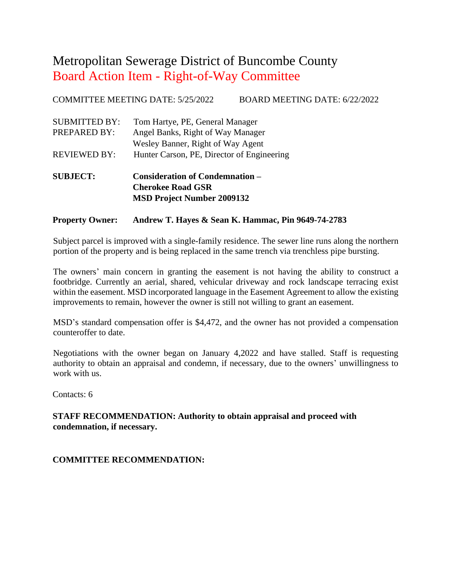COMMITTEE MEETING DATE: 5/25/2022 BOARD MEETING DATE: 6/22/2022

| <b>SUBJECT:</b>      | <b>Consideration of Condemnation –</b>     |
|----------------------|--------------------------------------------|
| <b>REVIEWED BY:</b>  | Hunter Carson, PE, Director of Engineering |
|                      | Wesley Banner, Right of Way Agent          |
| PREPARED BY:         | Angel Banks, Right of Way Manager          |
| <b>SUBMITTED BY:</b> | Tom Hartye, PE, General Manager            |
|                      |                                            |

**Cherokee Road GSR MSD Project Number 2009132**

#### **Property Owner: Andrew T. Hayes & Sean K. Hammac, Pin 9649-74-2783**

Subject parcel is improved with a single-family residence. The sewer line runs along the northern portion of the property and is being replaced in the same trench via trenchless pipe bursting.

The owners' main concern in granting the easement is not having the ability to construct a footbridge. Currently an aerial, shared, vehicular driveway and rock landscape terracing exist within the easement. MSD incorporated language in the Easement Agreement to allow the existing improvements to remain, however the owner is still not willing to grant an easement.

MSD's standard compensation offer is \$4,472, and the owner has not provided a compensation counteroffer to date.

Negotiations with the owner began on January 4,2022 and have stalled. Staff is requesting authority to obtain an appraisal and condemn, if necessary, due to the owners' unwillingness to work with us.

Contacts: 6

#### **STAFF RECOMMENDATION: Authority to obtain appraisal and proceed with condemnation, if necessary.**